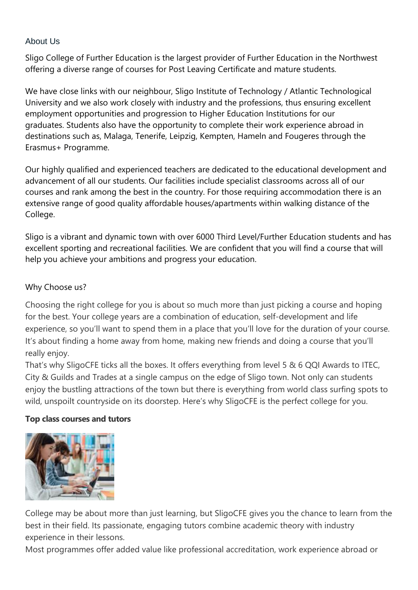# About Us

Sligo College of Further Education is the largest provider of Further Education in the Northwest offering a diverse range of courses for Post Leaving Certificate and mature students.

We have close links with our neighbour, Sligo Institute of Technology / Atlantic Technological University and we also work closely with industry and the professions, thus ensuring excellent employment opportunities and progression to Higher Education Institutions for our graduates. Students also have the opportunity to complete their work experience abroad in destinations such as, Malaga, Tenerife, Leipzig, Kempten, Hameln and Fougeres through the Erasmus+ Programme.

Our highly qualified and experienced teachers are dedicated to the educational development and advancement of all our students. Our facilities include specialist classrooms across all of our courses and rank among the best in the country. For those requiring accommodation there is an extensive range of good quality affordable houses/apartments within walking distance of the College.

Sligo is a vibrant and dynamic town with over 6000 Third Level/Further Education students and has excellent sporting and recreational facilities. We are confident that you will find a course that will help you achieve your ambitions and progress your education.

## Why Choose us?

Choosing the right college for you is about so much more than just picking a course and hoping for the best. Your college years are a combination of education, self-development and life experience, so you'll want to spend them in a place that you'll love for the duration of your course. It's about finding a home away from home, making new friends and doing a course that you'll really enjoy.

That's why SligoCFE ticks all the boxes. It offers everything from level 5 & 6 QQI Awards to ITEC, City & Guilds and Trades at a single campus on the edge of Sligo town. Not only can students enjoy the bustling attractions of the town but there is everything from world class surfing spots to wild, unspoilt countryside on its doorstep. Here's why SligoCFE is the perfect college for you.

### **Top class courses and tutors**



College may be about more than just learning, but SligoCFE gives you the chance to learn from the best in their field. Its passionate, engaging tutors combine academic theory with industry experience in their lessons.

Most programmes offer added value like professional accreditation, work experience abroad or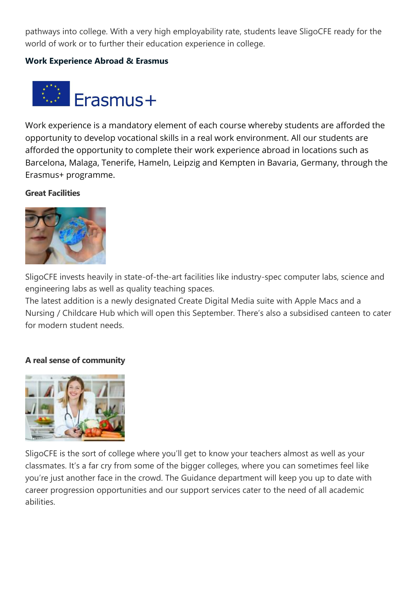pathways into college. With a very high employability rate, students leave SligoCFE ready for the world of work or to further their education experience in college.

### **Work Experience Abroad & Erasmus**



Work experience is a mandatory element of each course whereby students are afforded the opportunity to develop vocational skills in a real work environment. All our students are afforded the opportunity to complete their work experience abroad in locations such as Barcelona, Malaga, Tenerife, Hameln, Leipzig and Kempten in Bavaria, Germany, through the Erasmus+ programme.

### **Great Facilities**



SligoCFE invests heavily in state-of-the-art facilities like industry-spec computer labs, science and engineering labs as well as quality teaching spaces.

The latest addition is a newly designated Create Digital Media suite with Apple Macs and a Nursing / Childcare Hub which will open this September. There's also a subsidised canteen to cater for modern student needs.

#### **A real sense of community**



SligoCFE is the sort of college where you'll get to know your teachers almost as well as your classmates. It's a far cry from some of the bigger colleges, where you can sometimes feel like you're just another face in the crowd. The Guidance department will keep you up to date with career progression opportunities and our support services cater to the need of all academic abilities.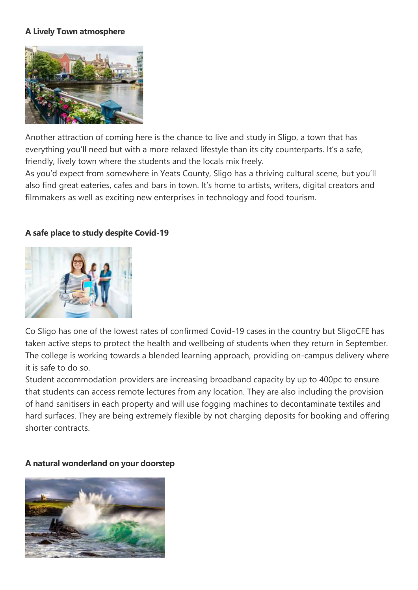# **A Lively Town atmosphere**



Another attraction of coming here is the chance to live and study in Sligo, a town that has everything you'll need but with a more relaxed lifestyle than its city counterparts. It's a safe, friendly, lively town where the students and the locals mix freely.

As you'd expect from somewhere in Yeats County, Sligo has a thriving cultural scene, but you'll also find great eateries, cafes and bars in town. It's home to artists, writers, digital creators and filmmakers as well as exciting new enterprises in technology and food tourism.

## **A safe place to study despite Covid-19**



Co Sligo has one of the lowest rates of confirmed Covid-19 cases in the country but SligoCFE has taken active steps to protect the health and wellbeing of students when they return in September. The college is working towards a blended learning approach, providing on-campus delivery where it is safe to do so.

Student accommodation providers are increasing broadband capacity by up to 400pc to ensure that students can access remote lectures from any location. They are also including the provision of hand sanitisers in each property and will use fogging machines to decontaminate textiles and hard surfaces. They are being extremely flexible by not charging deposits for booking and offering shorter contracts.

#### **A natural wonderland on your doorstep**